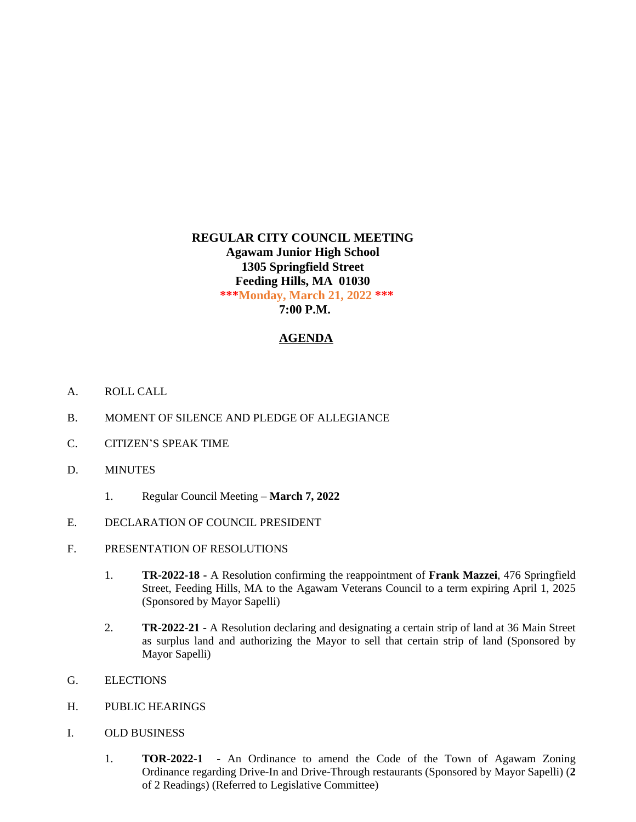## **REGULAR CITY COUNCIL MEETING Agawam Junior High School 1305 Springfield Street Feeding Hills, MA 01030 \*\*\*Monday, March 21, 2022 \*\*\* 7:00 P.M.**

## **AGENDA**

- A. ROLL CALL
- B. MOMENT OF SILENCE AND PLEDGE OF ALLEGIANCE
- C. CITIZEN'S SPEAK TIME
- D. MINUTES
	- 1. Regular Council Meeting **March 7, 2022**
- E. DECLARATION OF COUNCIL PRESIDENT
- F. PRESENTATION OF RESOLUTIONS
	- 1. **TR-2022-18 -** A Resolution confirming the reappointment of **Frank Mazzei**, 476 Springfield Street, Feeding Hills, MA to the Agawam Veterans Council to a term expiring April 1, 2025 (Sponsored by Mayor Sapelli)
	- 2. **TR-2022-21 -** A Resolution declaring and designating a certain strip of land at 36 Main Street as surplus land and authorizing the Mayor to sell that certain strip of land (Sponsored by Mayor Sapelli)
- G. ELECTIONS
- H. PUBLIC HEARINGS
- I. OLD BUSINESS
	- 1. **TOR-2022-1 -** An Ordinance to amend the Code of the Town of Agawam Zoning Ordinance regarding Drive-In and Drive-Through restaurants (Sponsored by Mayor Sapelli) (**2** of 2 Readings) (Referred to Legislative Committee)